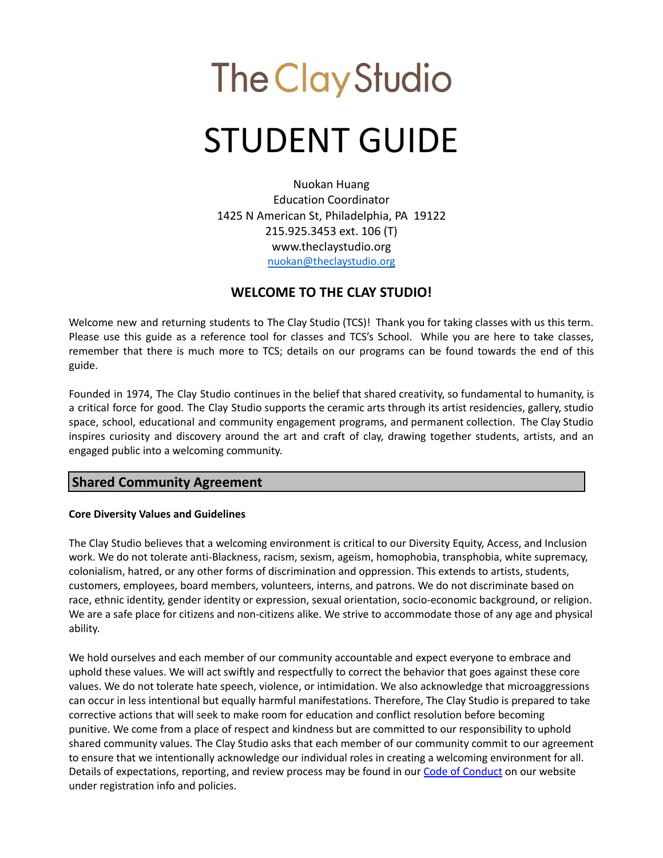# **The Clay Studio** STUDENT GUIDE

Nuokan Huang Education Coordinator 1425 N American St, Philadelphia, PA 19122 215.925.3453 ext. 106 (T) www.theclaystudio.org [nuokan@theclaystudio.org](mailto:nuokan@theclaystudio.org)

# **WELCOME TO THE CLAY STUDIO!**

Welcome new and returning students to The Clay Studio (TCS)! Thank you for taking classes with us this term. Please use this guide as a reference tool for classes and TCS's School. While you are here to take classes, remember that there is much more to TCS; details on our programs can be found towards the end of this guide.

Founded in 1974, The Clay Studio continues in the belief that shared creativity, so fundamental to humanity, is a critical force for good. The Clay Studio supports the ceramic arts through its artist residencies, gallery, studio space, school, educational and community engagement programs, and permanent collection. The Clay Studio inspires curiosity and discovery around the art and craft of clay, drawing together students, artists, and an engaged public into a welcoming community.

# **Shared Community Agreement**

#### **Core Diversity Values and Guidelines**

The Clay Studio believes that a welcoming environment is critical to our Diversity Equity, Access, and Inclusion work. We do not tolerate anti-Blackness, racism, sexism, ageism, homophobia, transphobia, white supremacy, colonialism, hatred, or any other forms of discrimination and oppression. This extends to artists, students, customers, employees, board members, volunteers, interns, and patrons. We do not discriminate based on race, ethnic identity, gender identity or expression, sexual orientation, socio-economic background, or religion. We are a safe place for citizens and non-citizens alike. We strive to accommodate those of any age and physical ability.

We hold ourselves and each member of our community accountable and expect everyone to embrace and uphold these values. We will act swiftly and respectfully to correct the behavior that goes against these core values. We do not tolerate hate speech, violence, or intimidation. We also acknowledge that microaggressions can occur in less intentional but equally harmful manifestations. Therefore, The Clay Studio is prepared to take corrective actions that will seek to make room for education and conflict resolution before becoming punitive. We come from a place of respect and kindness but are committed to our responsibility to uphold shared community values. The Clay Studio asks that each member of our community commit to our agreement to ensure that we intentionally acknowledge our individual roles in creating a welcoming environment for all. Details of expectations, reporting, and review process may be found in our Code of [Conduct](https://www.theclaystudio.org/uploads/attachments/cl2ktyb6g021rt3cjiy7ib4bg-code-of-conduct.pdf) on our website under registration info and policies.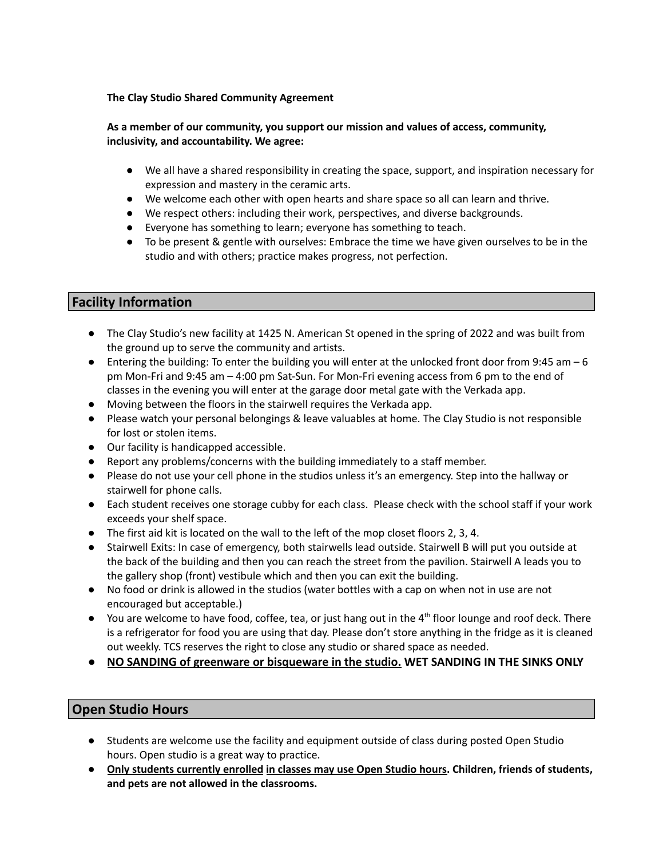#### **The Clay Studio Shared [Community](https://www.theclaystudio.org/uploads/attachments/cl2ku3gfl023tsbcjzj7bkj8l-2022-shared-community-agreement.pdf) Agreement**

#### **As a member of our community, you support our mission and values of access, community, inclusivity, and accountability. We agree:**

- We all have a shared responsibility in creating the space, support, and inspiration necessary for expression and mastery in the ceramic arts.
- We welcome each other with open hearts and share space so all can learn and thrive.
- We respect others: including their work, perspectives, and diverse backgrounds.
- Everyone has something to learn; everyone has something to teach.
- To be present & gentle with ourselves: Embrace the time we have given ourselves to be in the studio and with others; practice makes progress, not perfection.

#### **Facility Information**

- The Clay Studio's new facility at 1425 N. American St opened in the spring of 2022 and was built from the ground up to serve the community and artists.
- $\bullet$  Entering the building: To enter the building you will enter at the unlocked front door from 9:45 am 6 pm Mon-Fri and 9:45 am – 4:00 pm Sat-Sun. For Mon-Fri evening access from 6 pm to the end of classes in the evening you will enter at the garage door metal gate with the Verkada app.
- Moving between the floors in the stairwell requires the Verkada app.
- Please watch your personal belongings & leave valuables at home. The Clay Studio is not responsible for lost or stolen items.
- Our facility is handicapped accessible.
- Report any problems/concerns with the building immediately to a staff member.
- Please do not use your cell phone in the studios unless it's an emergency. Step into the hallway or stairwell for phone calls.
- Each student receives one storage cubby for each class. Please check with the school staff if your work exceeds your shelf space.
- The first aid kit is located on the wall to the left of the mop closet floors 2, 3, 4.
- Stairwell Exits: In case of emergency, both stairwells lead outside. Stairwell B will put you outside at the back of the building and then you can reach the street from the pavilion. Stairwell A leads you to the gallery shop (front) vestibule which and then you can exit the building.
- No food or drink is allowed in the studios (water bottles with a cap on when not in use are not encouraged but acceptable.)
- You are welcome to have food, coffee, tea, or just hang out in the 4<sup>th</sup> floor lounge and roof deck. There is a refrigerator for food you are using that day. Please don't store anything in the fridge as it is cleaned out weekly. TCS reserves the right to close any studio or shared space as needed.
- **● NO SANDING of greenware or bisqueware in the studio. WET SANDING IN THE SINKS ONLY**

# **Open Studio Hours**

- Students are welcome use the facility and equipment outside of class during posted Open Studio hours. Open studio is a great way to practice.
- **● Only students currently enrolled in classes may use Open Studio hours. Children, friends of students, and pets are not allowed in the classrooms.**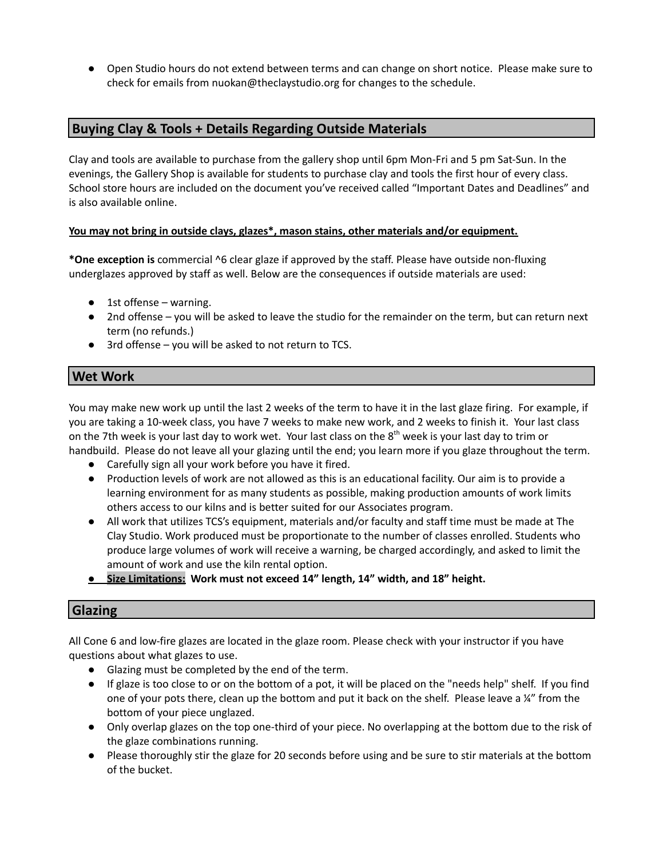● Open Studio hours do not extend between terms and can change on short notice. Please make sure to check for emails from nuokan@theclaystudio.org for changes to the schedule.

# **Buying Clay & Tools + Details Regarding Outside Materials**

Clay and tools are available to purchase from the gallery shop until 6pm Mon-Fri and 5 pm Sat-Sun. In the evenings, the Gallery Shop is available for students to purchase clay and tools the first hour of every class. School store hours are included on the document you've received called "Important Dates and Deadlines" and is also available online.

#### **You may not bring in outside clays, glazes\*, mason stains, other materials and/or equipment.**

**\*One exception is** commercial ^6 clear glaze if approved by the staff. Please have outside non-fluxing underglazes approved by staff as well. Below are the consequences if outside materials are used:

- 1st offense warning.
- 2nd offense you will be asked to leave the studio for the remainder on the term, but can return next term (no refunds.)
- 3rd offense you will be asked to not return to TCS.

# **Wet Work**

You may make new work up until the last 2 weeks of the term to have it in the last glaze firing. For example, if you are taking a 10-week class, you have 7 weeks to make new work, and 2 weeks to finish it. Your last class on the 7th week is your last day to work wet. Your last class on the 8<sup>th</sup> week is your last day to trim or handbuild. Please do not leave all your glazing until the end; you learn more if you glaze throughout the term.

- Carefully sign all your work before you have it fired.
- Production levels of work are not allowed as this is an educational facility. Our aim is to provide a learning environment for as many students as possible, making production amounts of work limits others access to our kilns and is better suited for our Associates program.
- All work that utilizes TCS's equipment, materials and/or faculty and staff time must be made at The Clay Studio. Work produced must be proportionate to the number of classes enrolled. Students who produce large volumes of work will receive a warning, be charged accordingly, and asked to limit the amount of work and use the kiln rental option.
- **● Size Limitations: Work must not exceed 14" length, 14" width, and 18" height.**

# **Glazing**

All Cone 6 and low-fire glazes are located in the glaze room. Please check with your instructor if you have questions about what glazes to use.

- Glazing must be completed by the end of the term.
- If glaze is too close to or on the bottom of a pot, it will be placed on the "needs help" shelf. If you find one of your pots there, clean up the bottom and put it back on the shelf. Please leave a ¼" from the bottom of your piece unglazed.
- Only overlap glazes on the top one-third of your piece. No overlapping at the bottom due to the risk of the glaze combinations running.
- Please thoroughly stir the glaze for 20 seconds before using and be sure to stir materials at the bottom of the bucket.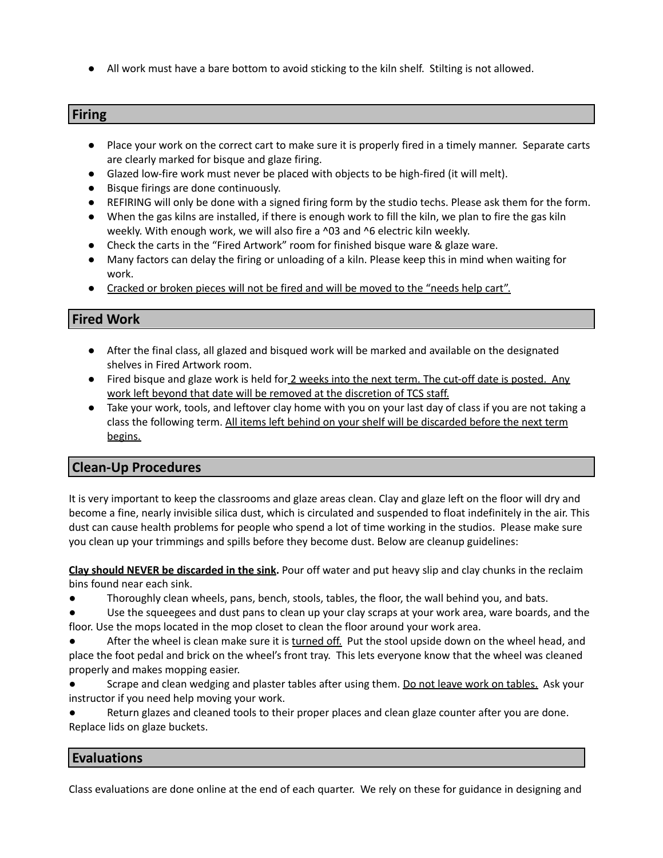● All work must have a bare bottom to avoid sticking to the kiln shelf. Stilting is not allowed.

#### **Firing**

- Place your work on the correct cart to make sure it is properly fired in a timely manner. Separate carts are clearly marked for bisque and glaze firing.
- Glazed low-fire work must never be placed with objects to be high-fired (it will melt).
- Bisque firings are done continuously.
- REFIRING will only be done with a signed firing form by the studio techs. Please ask them for the form.
- When the gas kilns are installed, if there is enough work to fill the kiln, we plan to fire the gas kiln weekly. With enough work, we will also fire a ^03 and ^6 electric kiln weekly.
- Check the carts in the "Fired Artwork" room for finished bisque ware & glaze ware.
- Many factors can delay the firing or unloading of a kiln. Please keep this in mind when waiting for work.
- Cracked or broken pieces will not be fired and will be moved to the "needs help cart".

# **Fired Work**

- After the final class, all glazed and bisqued work will be marked and available on the designated shelves in Fired Artwork room.
- Fired bisque and glaze work is held for 2 weeks into the next term. The cut-off date is posted. Any work left beyond that date will be removed at the discretion of TCS staff.
- Take your work, tools, and leftover clay home with you on your last day of class if you are not taking a class the following term. All items left behind on your shelf will be discarded before the next term begins.

# **Clean-Up Procedures**

It is very important to keep the classrooms and glaze areas clean. Clay and glaze left on the floor will dry and become a fine, nearly invisible silica dust, which is circulated and suspended to float indefinitely in the air. This dust can cause health problems for people who spend a lot of time working in the studios. Please make sure you clean up your trimmings and spills before they become dust. Below are cleanup guidelines:

**Clay should NEVER be discarded in the sink.** Pour off water and put heavy slip and clay chunks in the reclaim bins found near each sink.

- Thoroughly clean wheels, pans, bench, stools, tables, the floor, the wall behind you, and bats.
- Use the squeegees and dust pans to clean up your clay scraps at your work area, ware boards, and the floor. Use the mops located in the mop closet to clean the floor around your work area.
- After the wheel is clean make sure it is turned off. Put the stool upside down on the wheel head, and place the foot pedal and brick on the wheel's front tray. This lets everyone know that the wheel was cleaned properly and makes mopping easier.
- Scrape and clean wedging and plaster tables after using them. Do not leave work on tables. Ask your instructor if you need help moving your work.

Return glazes and cleaned tools to their proper places and clean glaze counter after you are done. Replace lids on glaze buckets.

# **Evaluations**

Class evaluations are done online at the end of each quarter. We rely on these for guidance in designing and